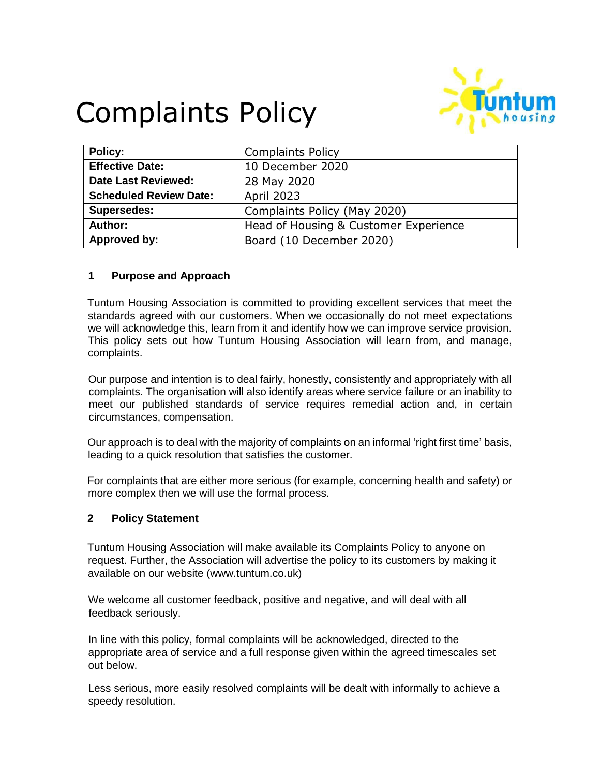# Complaints Policy



| Policy:                       | <b>Complaints Policy</b>              |
|-------------------------------|---------------------------------------|
| <b>Effective Date:</b>        | 10 December 2020                      |
| <b>Date Last Reviewed:</b>    | 28 May 2020                           |
| <b>Scheduled Review Date:</b> | <b>April 2023</b>                     |
| <b>Supersedes:</b>            | Complaints Policy (May 2020)          |
| Author:                       | Head of Housing & Customer Experience |
| Approved by:                  | Board (10 December 2020)              |

## **1 Purpose and Approach**

Tuntum Housing Association is committed to providing excellent services that meet the standards agreed with our customers. When we occasionally do not meet expectations we will acknowledge this, learn from it and identify how we can improve service provision. This policy sets out how Tuntum Housing Association will learn from, and manage, complaints.

Our purpose and intention is to deal fairly, honestly, consistently and appropriately with all complaints. The organisation will also identify areas where service failure or an inability to meet our published standards of service requires remedial action and, in certain circumstances, compensation.

Our approach is to deal with the majority of complaints on an informal 'right first time' basis, leading to a quick resolution that satisfies the customer.

For complaints that are either more serious (for example, concerning health and safety) or more complex then we will use the formal process.

### **2 Policy Statement**

Tuntum Housing Association will make available its Complaints Policy to anyone on request. Further, the Association will advertise the policy to its customers by making it available on our website (www.tuntum.co.uk)

We welcome all customer feedback, positive and negative, and will deal with all feedback seriously.

In line with this policy, formal complaints will be acknowledged, directed to the appropriate area of service and a full response given within the agreed timescales set out below.

Less serious, more easily resolved complaints will be dealt with informally to achieve a speedy resolution.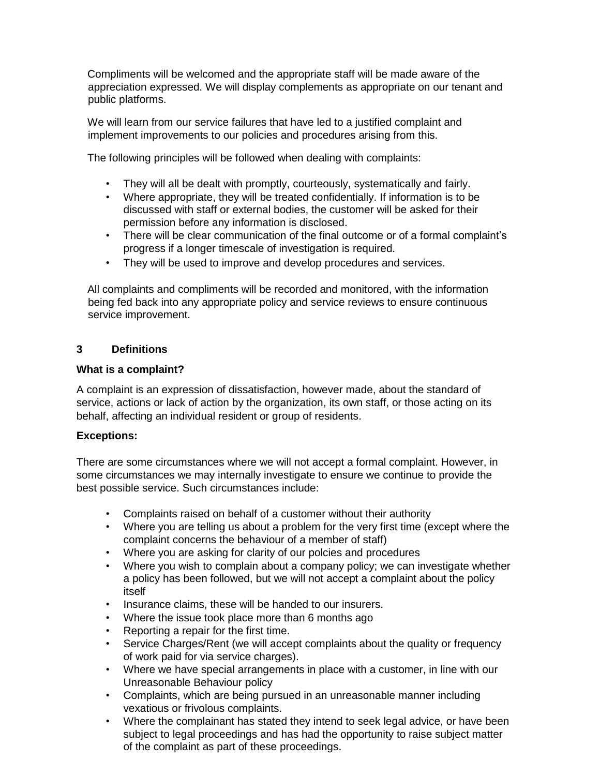Compliments will be welcomed and the appropriate staff will be made aware of the appreciation expressed. We will display complements as appropriate on our tenant and public platforms.

We will learn from our service failures that have led to a justified complaint and implement improvements to our policies and procedures arising from this.

The following principles will be followed when dealing with complaints:

- They will all be dealt with promptly, courteously, systematically and fairly.
- Where appropriate, they will be treated confidentially. If information is to be discussed with staff or external bodies, the customer will be asked for their permission before any information is disclosed.
- There will be clear communication of the final outcome or of a formal complaint's progress if a longer timescale of investigation is required.
- They will be used to improve and develop procedures and services.

All complaints and compliments will be recorded and monitored, with the information being fed back into any appropriate policy and service reviews to ensure continuous service improvement.

## **3 Definitions**

### **What is a complaint?**

A complaint is an expression of dissatisfaction, however made, about the standard of service, actions or lack of action by the organization, its own staff, or those acting on its behalf, affecting an individual resident or group of residents.

### **Exceptions:**

There are some circumstances where we will not accept a formal complaint. However, in some circumstances we may internally investigate to ensure we continue to provide the best possible service. Such circumstances include:

- Complaints raised on behalf of a customer without their authority
- Where you are telling us about a problem for the very first time (except where the complaint concerns the behaviour of a member of staff)
- Where you are asking for clarity of our polcies and procedures
- Where you wish to complain about a company policy; we can investigate whether a policy has been followed, but we will not accept a complaint about the policy itself
- Insurance claims, these will be handed to our insurers.
- Where the issue took place more than 6 months ago
- Reporting a repair for the first time.
- Service Charges/Rent (we will accept complaints about the quality or frequency of work paid for via service charges).
- Where we have special arrangements in place with a customer, in line with our Unreasonable Behaviour policy
- Complaints, which are being pursued in an unreasonable manner including vexatious or frivolous complaints.
- Where the complainant has stated they intend to seek legal advice, or have been subject to legal proceedings and has had the opportunity to raise subject matter of the complaint as part of these proceedings.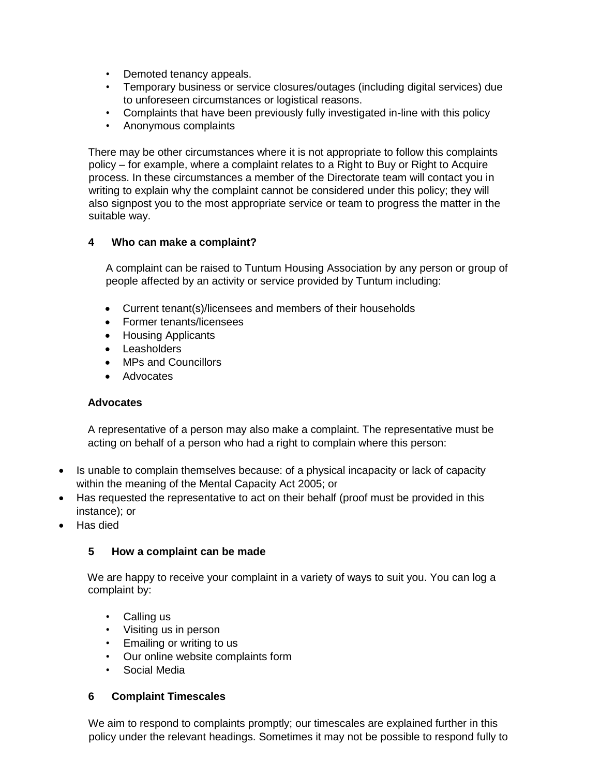- Demoted tenancy appeals.
- Temporary business or service closures/outages (including digital services) due to unforeseen circumstances or logistical reasons.
- Complaints that have been previously fully investigated in-line with this policy
- Anonymous complaints

There may be other circumstances where it is not appropriate to follow this complaints policy – for example, where a complaint relates to a Right to Buy or Right to Acquire process. In these circumstances a member of the Directorate team will contact you in writing to explain why the complaint cannot be considered under this policy; they will also signpost you to the most appropriate service or team to progress the matter in the suitable way.

## **4 Who can make a complaint?**

A complaint can be raised to Tuntum Housing Association by any person or group of people affected by an activity or service provided by Tuntum including:

- Current tenant(s)/licensees and members of their households
- Former tenants/licensees
- Housing Applicants
- Leasholders
- MPs and Councillors
- Advocates

### **Advocates**

A representative of a person may also make a complaint. The representative must be acting on behalf of a person who had a right to complain where this person:

- Is unable to complain themselves because: of a physical incapacity or lack of capacity within the meaning of the Mental Capacity Act 2005; or
- Has requested the representative to act on their behalf (proof must be provided in this instance); or
- Has died

## **5 How a complaint can be made**

We are happy to receive your complaint in a variety of ways to suit you. You can log a complaint by:

- Calling us
- Visiting us in person
- Emailing or writing to us
- Our online website complaints form
- Social Media

### **6 Complaint Timescales**

We aim to respond to complaints promptly; our timescales are explained further in this policy under the relevant headings. Sometimes it may not be possible to respond fully to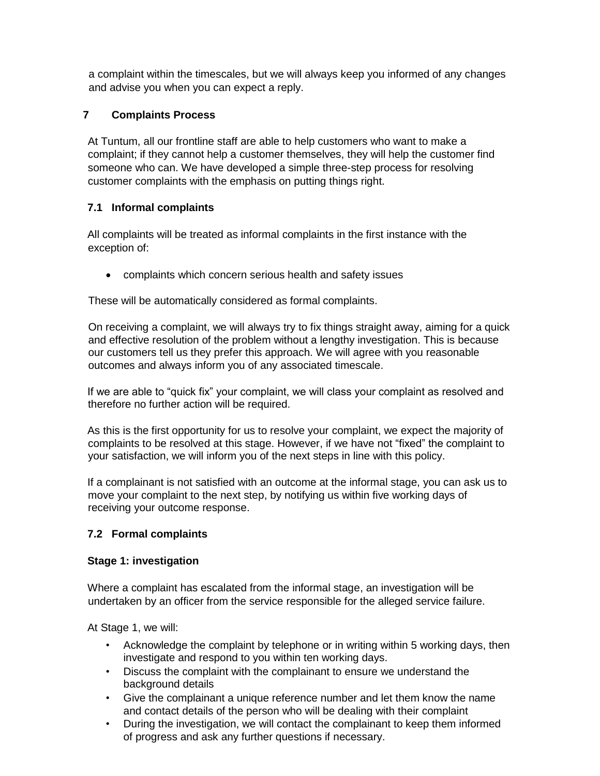a complaint within the timescales, but we will always keep you informed of any changes and advise you when you can expect a reply.

# **7 Complaints Process**

At Tuntum, all our frontline staff are able to help customers who want to make a complaint; if they cannot help a customer themselves, they will help the customer find someone who can. We have developed a simple three-step process for resolving customer complaints with the emphasis on putting things right.

# **7.1 Informal complaints**

All complaints will be treated as informal complaints in the first instance with the exception of:

complaints which concern serious health and safety issues

These will be automatically considered as formal complaints.

On receiving a complaint, we will always try to fix things straight away, aiming for a quick and effective resolution of the problem without a lengthy investigation. This is because our customers tell us they prefer this approach. We will agree with you reasonable outcomes and always inform you of any associated timescale.

If we are able to "quick fix" your complaint, we will class your complaint as resolved and therefore no further action will be required.

As this is the first opportunity for us to resolve your complaint, we expect the majority of complaints to be resolved at this stage. However, if we have not "fixed" the complaint to your satisfaction, we will inform you of the next steps in line with this policy.

If a complainant is not satisfied with an outcome at the informal stage, you can ask us to move your complaint to the next step, by notifying us within five working days of receiving your outcome response.

# **7.2 Formal complaints**

# **Stage 1: investigation**

Where a complaint has escalated from the informal stage, an investigation will be undertaken by an officer from the service responsible for the alleged service failure.

At Stage 1, we will:

- Acknowledge the complaint by telephone or in writing within 5 working days, then investigate and respond to you within ten working days.
- Discuss the complaint with the complainant to ensure we understand the background details
- Give the complainant a unique reference number and let them know the name and contact details of the person who will be dealing with their complaint
- During the investigation, we will contact the complainant to keep them informed of progress and ask any further questions if necessary.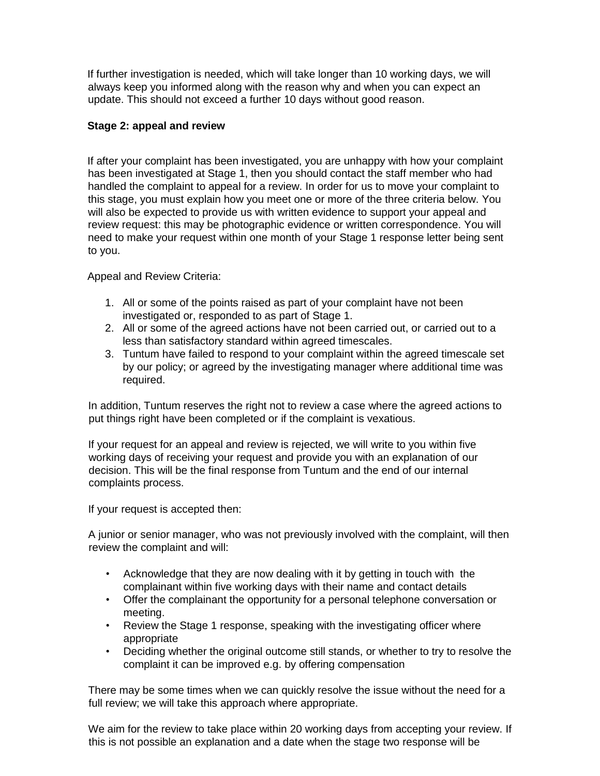If further investigation is needed, which will take longer than 10 working days, we will always keep you informed along with the reason why and when you can expect an update. This should not exceed a further 10 days without good reason.

## **Stage 2: appeal and review**

If after your complaint has been investigated, you are unhappy with how your complaint has been investigated at Stage 1, then you should contact the staff member who had handled the complaint to appeal for a review. In order for us to move your complaint to this stage, you must explain how you meet one or more of the three criteria below. You will also be expected to provide us with written evidence to support your appeal and review request: this may be photographic evidence or written correspondence. You will need to make your request within one month of your Stage 1 response letter being sent to you.

Appeal and Review Criteria:

- 1. All or some of the points raised as part of your complaint have not been investigated or, responded to as part of Stage 1.
- 2. All or some of the agreed actions have not been carried out, or carried out to a less than satisfactory standard within agreed timescales.
- 3. Tuntum have failed to respond to your complaint within the agreed timescale set by our policy; or agreed by the investigating manager where additional time was required.

In addition, Tuntum reserves the right not to review a case where the agreed actions to put things right have been completed or if the complaint is vexatious.

If your request for an appeal and review is rejected, we will write to you within five working days of receiving your request and provide you with an explanation of our decision. This will be the final response from Tuntum and the end of our internal complaints process.

If your request is accepted then:

A junior or senior manager, who was not previously involved with the complaint, will then review the complaint and will:

- Acknowledge that they are now dealing with it by getting in touch with the complainant within five working days with their name and contact details
- Offer the complainant the opportunity for a personal telephone conversation or meeting.
- Review the Stage 1 response, speaking with the investigating officer where appropriate
- Deciding whether the original outcome still stands, or whether to try to resolve the complaint it can be improved e.g. by offering compensation

There may be some times when we can quickly resolve the issue without the need for a full review; we will take this approach where appropriate.

We aim for the review to take place within 20 working days from accepting your review. If this is not possible an explanation and a date when the stage two response will be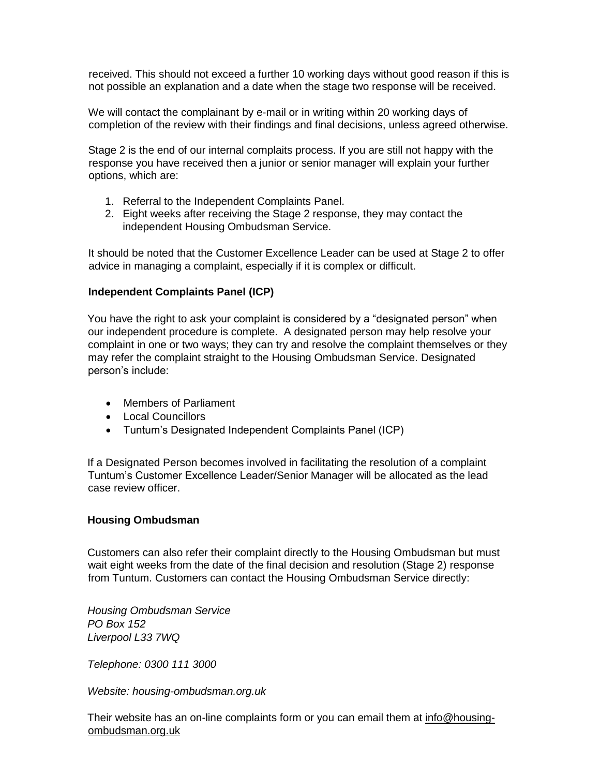received. This should not exceed a further 10 working days without good reason if this is not possible an explanation and a date when the stage two response will be received.

We will contact the complainant by e-mail or in writing within 20 working days of completion of the review with their findings and final decisions, unless agreed otherwise.

Stage 2 is the end of our internal complaits process. If you are still not happy with the response you have received then a junior or senior manager will explain your further options, which are:

- 1. Referral to the Independent Complaints Panel.
- 2. Eight weeks after receiving the Stage 2 response, they may contact the independent Housing Ombudsman Service.

It should be noted that the Customer Excellence Leader can be used at Stage 2 to offer advice in managing a complaint, especially if it is complex or difficult.

### **Independent Complaints Panel (ICP)**

You have the right to ask your complaint is considered by a "designated person" when our independent procedure is complete. A designated person may help resolve your complaint in one or two ways; they can try and resolve the complaint themselves or they may refer the complaint straight to the Housing Ombudsman Service. Designated person's include:

- Members of Parliament
- Local Councillors
- Tuntum's Designated Independent Complaints Panel (ICP)

If a Designated Person becomes involved in facilitating the resolution of a complaint Tuntum's Customer Excellence Leader/Senior Manager will be allocated as the lead case review officer.

### **Housing Ombudsman**

Customers can also refer their complaint directly to the Housing Ombudsman but must wait eight weeks from the date of the final decision and resolution (Stage 2) response from Tuntum. Customers can contact the Housing Ombudsman Service directly:

*Housing Ombudsman Service PO Box 152 Liverpool L33 7WQ* 

*Telephone: 0300 111 3000* 

*Website: housing-ombudsman.org.uk* 

Their website has an on-line complaints form or you can email them at [info@housing](mailto:info@housing-ombudsman.org.uk)[ombudsman.org.uk](mailto:info@housing-ombudsman.org.uk)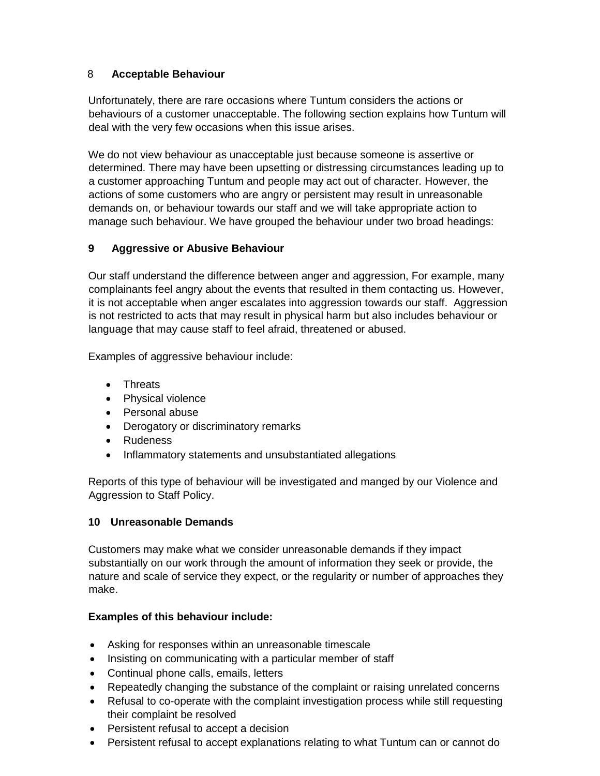## 8 **Acceptable Behaviour**

Unfortunately, there are rare occasions where Tuntum considers the actions or behaviours of a customer unacceptable. The following section explains how Tuntum will deal with the very few occasions when this issue arises.

We do not view behaviour as unacceptable just because someone is assertive or determined. There may have been upsetting or distressing circumstances leading up to a customer approaching Tuntum and people may act out of character. However, the actions of some customers who are angry or persistent may result in unreasonable demands on, or behaviour towards our staff and we will take appropriate action to manage such behaviour. We have grouped the behaviour under two broad headings:

## **9 Aggressive or Abusive Behaviour**

Our staff understand the difference between anger and aggression, For example, many complainants feel angry about the events that resulted in them contacting us. However, it is not acceptable when anger escalates into aggression towards our staff. Aggression is not restricted to acts that may result in physical harm but also includes behaviour or language that may cause staff to feel afraid, threatened or abused.

Examples of aggressive behaviour include:

- Threats
- Physical violence
- Personal abuse
- Derogatory or discriminatory remarks
- Rudeness
- Inflammatory statements and unsubstantiated allegations

Reports of this type of behaviour will be investigated and manged by our Violence and Aggression to Staff Policy.

# **10 Unreasonable Demands**

Customers may make what we consider unreasonable demands if they impact substantially on our work through the amount of information they seek or provide, the nature and scale of service they expect, or the regularity or number of approaches they make.

# **Examples of this behaviour include:**

- Asking for responses within an unreasonable timescale
- Insisting on communicating with a particular member of staff
- Continual phone calls, emails, letters
- Repeatedly changing the substance of the complaint or raising unrelated concerns
- Refusal to co-operate with the complaint investigation process while still requesting their complaint be resolved
- Persistent refusal to accept a decision
- Persistent refusal to accept explanations relating to what Tuntum can or cannot do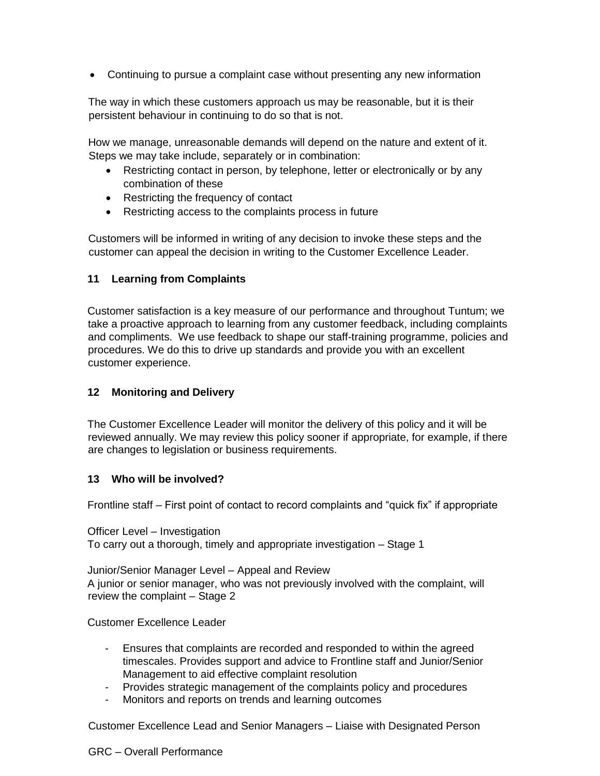Continuing to pursue a complaint case without presenting any new information

The way in which these customers approach us may be reasonable, but it is their persistent behaviour in continuing to do so that is not.

How we manage, unreasonable demands will depend on the nature and extent of it. Steps we may take include, separately or in combination:

- Restricting contact in person, by telephone, letter or electronically or by any combination of these
- Restricting the frequency of contact
- Restricting access to the complaints process in future

Customers will be informed in writing of any decision to invoke these steps and the customer can appeal the decision in writing to the Customer Excellence Leader.

## **11 Learning from Complaints**

Customer satisfaction is a key measure of our performance and throughout Tuntum; we take a proactive approach to learning from any customer feedback, including complaints and compliments. We use feedback to shape our staff-training programme, policies and procedures. We do this to drive up standards and provide you with an excellent customer experience.

## **12 Monitoring and Delivery**

The Customer Excellence Leader will monitor the delivery of this policy and it will be reviewed annually. We may review this policy sooner if appropriate, for example, if there are changes to legislation or business requirements.

## **13 Who will be involved?**

Frontline staff – First point of contact to record complaints and "quick fix" if appropriate

Officer Level – Investigation To carry out a thorough, timely and appropriate investigation – Stage 1

Junior/Senior Manager Level – Appeal and Review A junior or senior manager, who was not previously involved with the complaint, will review the complaint – Stage 2

Customer Excellence Leader

- Ensures that complaints are recorded and responded to within the agreed timescales. Provides support and advice to Frontline staff and Junior/Senior Management to aid effective complaint resolution
- Provides strategic management of the complaints policy and procedures
- Monitors and reports on trends and learning outcomes

Customer Excellence Lead and Senior Managers – Liaise with Designated Person

### GRC – Overall Performance